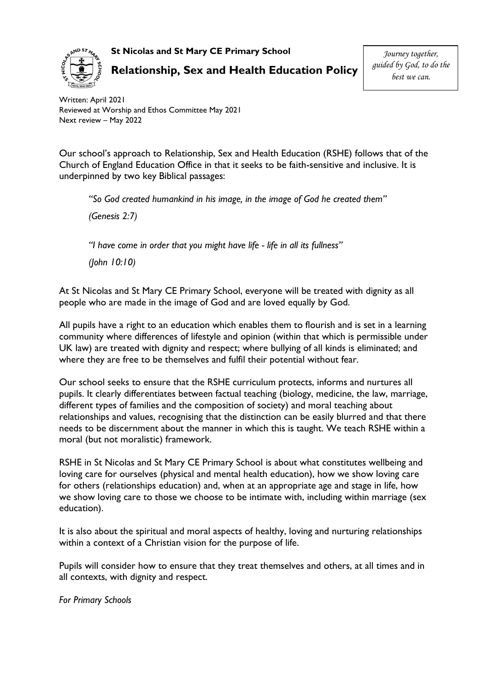**St Nicolas and St Mary CE Primary School**



**Relationship, Sex and Health Education Policy**

*Journey together, guided by God, to do the best we can.*

Written: April 2021 Reviewed at Worship and Ethos Committee May 2021 Next review – May 2022

Our school's approach to Relationship, Sex and Health Education (RSHE) follows that of the Church of England Education Office in that it seeks to be faith-sensitive and inclusive. It is underpinned by two key Biblical passages:

*"So God created humankind in his image, in the image of God he created them"*

*(Genesis 2:7)*

*"I have come in order that you might have life - life in all its fullness"* 

*(John 10:10)*

At St Nicolas and St Mary CE Primary School, everyone will be treated with dignity as all people who are made in the image of God and are loved equally by God.

All pupils have a right to an education which enables them to flourish and is set in a learning community where differences of lifestyle and opinion (within that which is permissible under UK law) are treated with dignity and respect; where bullying of all kinds is eliminated; and where they are free to be themselves and fulfil their potential without fear.

Our school seeks to ensure that the RSHE curriculum protects, informs and nurtures all pupils. It clearly differentiates between factual teaching (biology, medicine, the law, marriage, different types of families and the composition of society) and moral teaching about relationships and values, recognising that the distinction can be easily blurred and that there needs to be discernment about the manner in which this is taught. We teach RSHE within a moral (but not moralistic) framework.

RSHE in St Nicolas and St Mary CE Primary School is about what constitutes wellbeing and loving care for ourselves (physical and mental health education), how we show loving care for others (relationships education) and, when at an appropriate age and stage in life, how we show loving care to those we choose to be intimate with, including within marriage (sex education).

It is also about the spiritual and moral aspects of healthy, loving and nurturing relationships within a context of a Christian vision for the purpose of life.

Pupils will consider how to ensure that they treat themselves and others, at all times and in all contexts, with dignity and respect.

*For Primary Schools*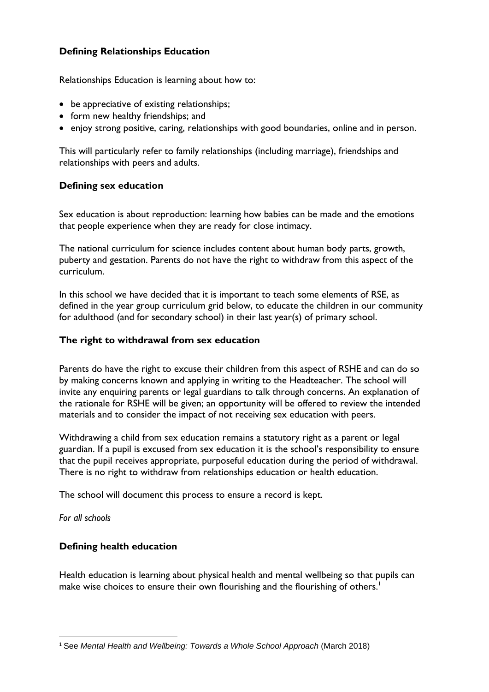# **Defining Relationships Education**

Relationships Education is learning about how to:

- be appreciative of existing relationships;
- form new healthy friendships; and
- enjoy strong positive, caring, relationships with good boundaries, online and in person.

This will particularly refer to family relationships (including marriage), friendships and relationships with peers and adults.

## **Defining sex education**

Sex education is about reproduction: learning how babies can be made and the emotions that people experience when they are ready for close intimacy.

The national curriculum for science includes content about human body parts, growth, puberty and gestation. Parents do not have the right to withdraw from this aspect of the curriculum.

In this school we have decided that it is important to teach some elements of RSE, as defined in the year group curriculum grid below, to educate the children in our community for adulthood (and for secondary school) in their last year(s) of primary school.

## **The right to withdrawal from sex education**

Parents do have the right to excuse their children from this aspect of RSHE and can do so by making concerns known and applying in writing to the Headteacher. The school will invite any enquiring parents or legal guardians to talk through concerns. An explanation of the rationale for RSHE will be given; an opportunity will be offered to review the intended materials and to consider the impact of not receiving sex education with peers.

Withdrawing a child from sex education remains a statutory right as a parent or legal guardian. If a pupil is excused from sex education it is the school's responsibility to ensure that the pupil receives appropriate, purposeful education during the period of withdrawal. There is no right to withdraw from relationships education or health education.

The school will document this process to ensure a record is kept.

*For all schools*

## **Defining health education**

Health education is learning about physical health and mental wellbeing so that pupils can make wise choices to ensure their own flourishing and the flourishing of others.<sup>1</sup>

**<sup>.</sup>** <sup>1</sup> See *Mental Health and Wellbeing: Towards a Whole School Approach* (March 2018)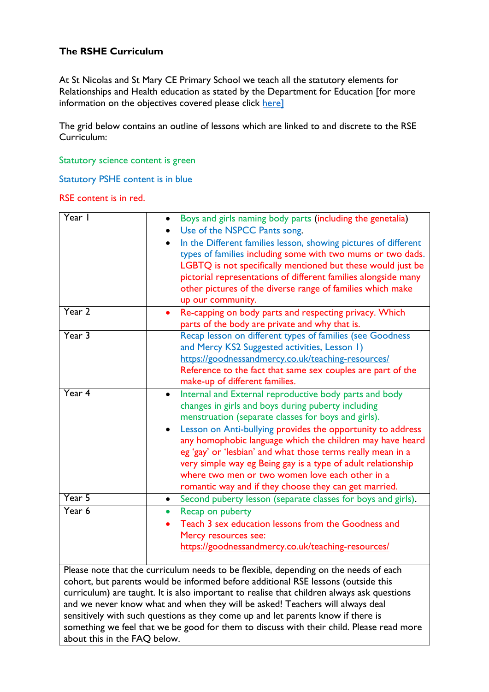# **The RSHE Curriculum**

At St Nicolas and St Mary CE Primary School we teach all the statutory elements for Relationships and Health education as stated by the Department for Education [for more information on the objectives covered please click [here\]](https://assets.publishing.service.gov.uk/government/uploads/system/uploads/attachment_data/file/805781/Relationships_Education__Relationships_and_Sex_Education__RSE__and_Health_Education.pdf)

The grid below contains an outline of lessons which are linked to and discrete to the RSE Curriculum:

Statutory science content is green

Statutory PSHE content is in blue

RSE content is in red.

| Year I                       | Boys and girls naming body parts (including the genetalia)<br>Use of the NSPCC Pants song.<br>In the Different families lesson, showing pictures of different<br>types of families including some with two mums or two dads.<br>LGBTQ is not specifically mentioned but these would just be<br>pictorial representations of different families alongside many<br>other pictures of the diverse range of families which make<br>up our community.                                                                                                        |
|------------------------------|---------------------------------------------------------------------------------------------------------------------------------------------------------------------------------------------------------------------------------------------------------------------------------------------------------------------------------------------------------------------------------------------------------------------------------------------------------------------------------------------------------------------------------------------------------|
| Year 2                       | Re-capping on body parts and respecting privacy. Which<br>parts of the body are private and why that is.                                                                                                                                                                                                                                                                                                                                                                                                                                                |
| Year 3                       | Recap lesson on different types of families (see Goodness<br>and Mercy KS2 Suggested activities, Lesson 1)<br>https://goodnessandmercy.co.uk/teaching-resources/<br>Reference to the fact that same sex couples are part of the<br>make-up of different families.                                                                                                                                                                                                                                                                                       |
| Year 4                       | Internal and External reproductive body parts and body<br>$\bullet$<br>changes in girls and boys during puberty including<br>menstruation (separate classes for boys and girls).<br>Lesson on Anti-bullying provides the opportunity to address<br>any homophobic language which the children may have heard<br>eg 'gay' or 'lesbian' and what those terms really mean in a<br>very simple way eg Being gay is a type of adult relationship<br>where two men or two women love each other in a<br>romantic way and if they choose they can get married. |
| Year 5                       | Second puberty lesson (separate classes for boys and girls).<br>$\bullet$                                                                                                                                                                                                                                                                                                                                                                                                                                                                               |
| Year 6                       | Recap on puberty<br>Teach 3 sex education lessons from the Goodness and<br>Mercy resources see:<br>https://goodnessandmercy.co.uk/teaching-resources/                                                                                                                                                                                                                                                                                                                                                                                                   |
| about this in the FAQ below. | Please note that the curriculum needs to be flexible, depending on the needs of each<br>cohort, but parents would be informed before additional RSE lessons (outside this<br>curriculum) are taught. It is also important to realise that children always ask questions<br>and we never know what and when they will be asked! Teachers will always deal<br>sensitively with such questions as they come up and let parents know if there is<br>something we feel that we be good for them to discuss with their child. Please read more                |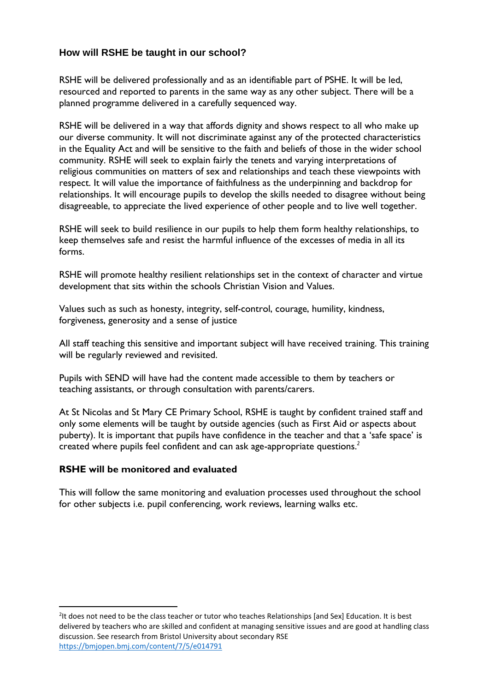# **How will RSHE be taught in our school?**

RSHE will be delivered professionally and as an identifiable part of PSHE. It will be led, resourced and reported to parents in the same way as any other subject. There will be a planned programme delivered in a carefully sequenced way.

RSHE will be delivered in a way that affords dignity and shows respect to all who make up our diverse community. It will not discriminate against any of the protected characteristics in the Equality Act and will be sensitive to the faith and beliefs of those in the wider school community. RSHE will seek to explain fairly the tenets and varying interpretations of religious communities on matters of sex and relationships and teach these viewpoints with respect. It will value the importance of faithfulness as the underpinning and backdrop for relationships. It will encourage pupils to develop the skills needed to disagree without being disagreeable, to appreciate the lived experience of other people and to live well together.

RSHE will seek to build resilience in our pupils to help them form healthy relationships, to keep themselves safe and resist the harmful influence of the excesses of media in all its forms.

RSHE will promote healthy resilient relationships set in the context of character and virtue development that sits within the schools Christian Vision and Values.

Values such as such as honesty, integrity, self-control, courage, humility, kindness, forgiveness, generosity and a sense of justice

All staff teaching this sensitive and important subject will have received training. This training will be regularly reviewed and revisited.

Pupils with SEND will have had the content made accessible to them by teachers or teaching assistants, or through consultation with parents/carers.

At St Nicolas and St Mary CE Primary School, RSHE is taught by confident trained staff and only some elements will be taught by outside agencies (such as First Aid or aspects about puberty). It is important that pupils have confidence in the teacher and that a 'safe space' is created where pupils feel confident and can ask age-appropriate questions.*<sup>2</sup>*

### **RSHE will be monitored and evaluated**

**.** 

This will follow the same monitoring and evaluation processes used throughout the school for other subjects i.e. pupil conferencing, work reviews, learning walks etc.

<sup>&</sup>lt;sup>2</sup>It does not need to be the class teacher or tutor who teaches Relationships [and Sex] Education. It is best delivered by teachers who are skilled and confident at managing sensitive issues and are good at handling class discussion. See research from Bristol University about secondary RSE <https://bmjopen.bmj.com/content/7/5/e014791>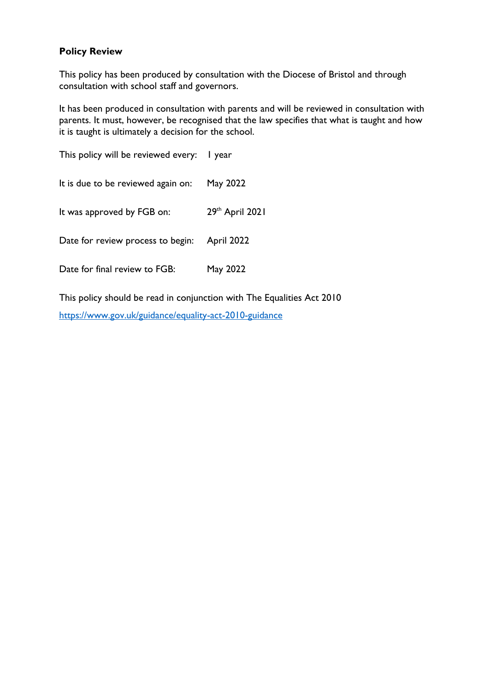# **Policy Review**

This policy has been produced by consultation with the Diocese of Bristol and through consultation with school staff and governors.

It has been produced in consultation with parents and will be reviewed in consultation with parents. It must, however, be recognised that the law specifies that what is taught and how it is taught is ultimately a decision for the school.

This policy will be reviewed every: I year It is due to be reviewed again on: May 2022 It was approved by FGB on:  $29<sup>th</sup>$  April 2021 Date for review process to begin: April 2022 Date for final review to FGB: May 2022

This policy should be read in conjunction with The Equalities Act 2010 <https://www.gov.uk/guidance/equality-act-2010-guidance>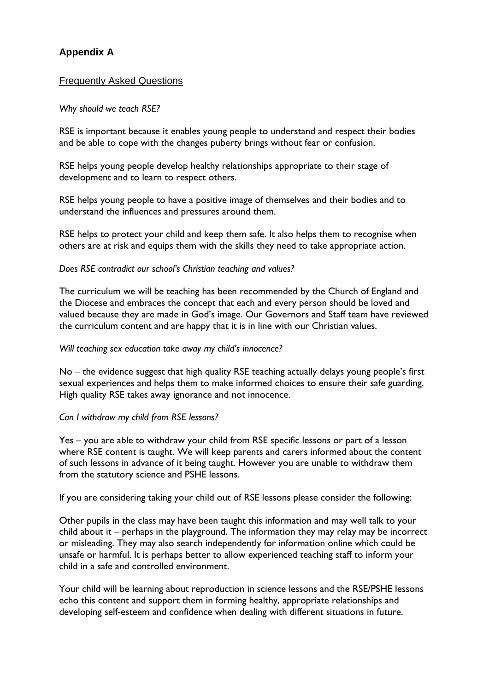# **Appendix A**

## Frequently Asked Questions

### *Why should we teach RSE?*

RSE is important because it enables young people to understand and respect their bodies and be able to cope with the changes puberty brings without fear or confusion.

RSE helps young people develop healthy relationships appropriate to their stage of development and to learn to respect others.

RSE helps young people to have a positive image of themselves and their bodies and to understand the influences and pressures around them.

RSE helps to protect your child and keep them safe. It also helps them to recognise when others are at risk and equips them with the skills they need to take appropriate action.

### *Does RSE contradict our school's Christian teaching and values?*

The curriculum we will be teaching has been recommended by the Church of England and the Diocese and embraces the concept that each and every person should be loved and valued because they are made in God's image. Our Governors and Staff team have reviewed the curriculum content and are happy that it is in line with our Christian values.

#### *Will teaching sex education take away my child's innocence?*

No – the evidence suggest that high quality RSE teaching actually delays young people's first sexual experiences and helps them to make informed choices to ensure their safe guarding. High quality RSE takes away ignorance and not innocence.

### *Can I withdraw my child from RSE lessons?*

Yes – you are able to withdraw your child from RSE specific lessons or part of a lesson where RSE content is taught. We will keep parents and carers informed about the content of such lessons in advance of it being taught. However you are unable to withdraw them from the statutory science and PSHE lessons.

If you are considering taking your child out of RSE lessons please consider the following:

Other pupils in the class may have been taught this information and may well talk to your child about it – perhaps in the playground. The information they may relay may be incorrect or misleading. They may also search independently for information online which could be unsafe or harmful. It is perhaps better to allow experienced teaching staff to inform your child in a safe and controlled environment.

Your child will be learning about reproduction in science lessons and the RSE/PSHE lessons echo this content and support them in forming healthy, appropriate relationships and developing self-esteem and confidence when dealing with different situations in future.